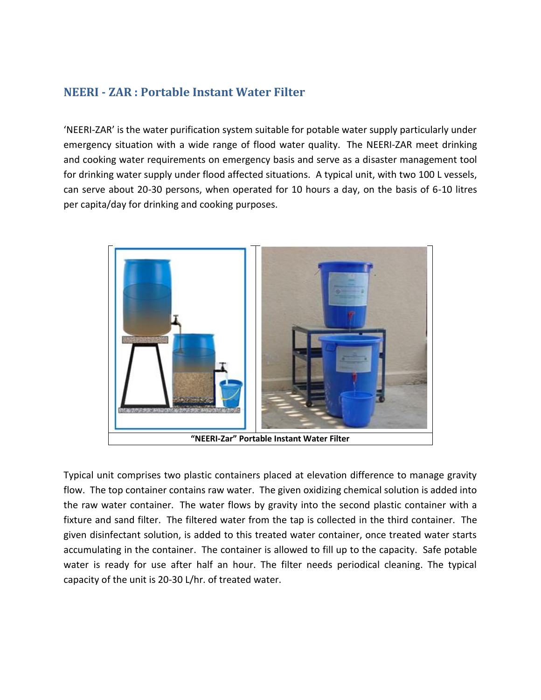# **NEERI - ZAR : Portable Instant Water Filter**

 'NEERI-ZAR' is the water purification system suitable for potable water supply particularly under emergency situation with a wide range of flood water quality. The NEERI-ZAR meet drinking for drinking water supply under flood affected situations. A typical unit, with two 100 L vessels, can serve about 20-30 persons, when operated for 10 hours a day, on the basis of 6-10 litres per capita/day for drinking and cooking purposes. and cooking water requirements on emergency basis and serve as a disaster management tool



 Typical unit comprises two plastic containers placed at elevation difference to manage gravity flow. The top container contains raw water. The given oxidizing chemical solution is added into the raw water container. The water flows by gravity into the second plastic container with a fixture and sand filter. The filtered water from the tap is collected in the third container. The given disinfectant solution, is added to this treated water container, once treated water starts accumulating in the container. The container is allowed to fill up to the capacity. Safe potable water is ready for use after half an hour. The filter needs periodical cleaning. The typical capacity of the unit is 20-30 L/hr. of treated water.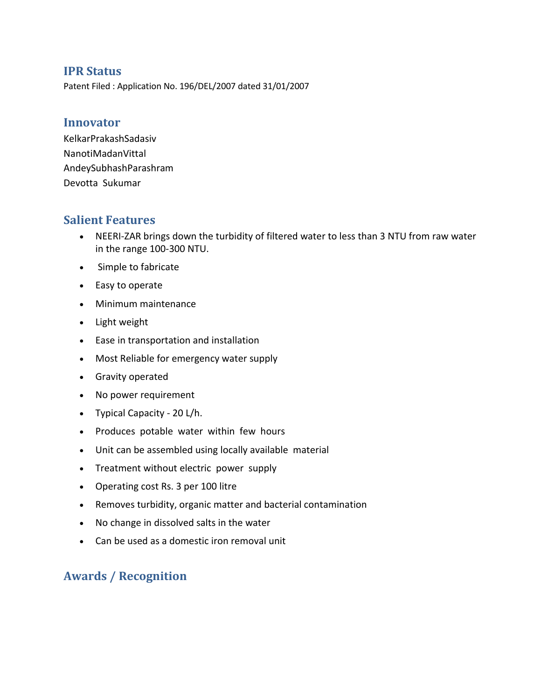### **IPR Status**

Patent Filed : Application No. 196/DEL/2007 dated 31/01/2007

#### **Innovator**

 Devotta Sukumar KelkarPrakashSadasiv NanotiMadanVittal AndeySubhashParashram

## **Salient Features**

- NEERI-ZAR brings down the turbidity of filtered water to less than 3 NTU from raw water in the range 100-300 NTU.
- Simple to fabricate
- Easy to operate
- Minimum maintenance
- Light weight
- Ease in transportation and installation
- Most Reliable for emergency water supply
- Gravity operated
- No power requirement
- Typical Capacity 20 L/h.
- Produces potable water within few hours
- Unit can be assembled using locally available material
- Treatment without electric power supply
- Operating cost Rs. 3 per 100 litre
- Removes turbidity, organic matter and bacterial contamination
- No change in dissolved salts in the water
- Can be used as a domestic iron removal unit

## **Awards / Recognition**